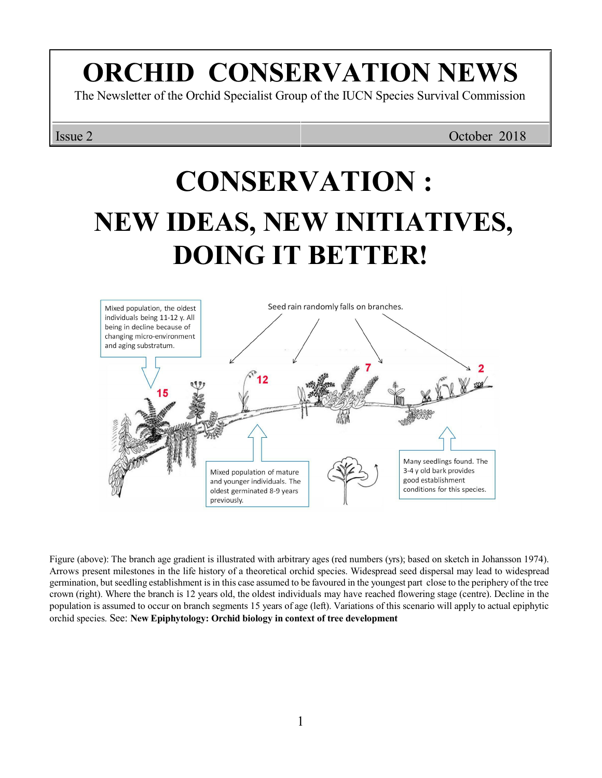## **ORCHID CONSERVATION NEWS**

The Newsletter of the Orchid Specialist Group of the IUCN Species Survival Commission

Issue 2 October 2018

# **CONSERVATION : NEW IDEAS, NEW INITIATIVES, DOING IT BETTER!**



Figure (above): The branch age gradient is illustrated with arbitrary ages (red numbers (yrs); based on sketch in Johansson 1974). Arrows present milestones in the life history of a theoretical orchid species. Widespread seed dispersal may lead to widespread germination, but seedling establishment isin this case assumed to be favoured in the youngest part close to the periphery of the tree crown (right). Where the branch is 12 years old, the oldest individuals may have reached flowering stage (centre). Decline in the population is assumed to occur on branch segments 15 years of age (left). Variations of this scenario will apply to actual epiphytic orchid species. See: **New Epiphytology: Orchid biology in context of tree development**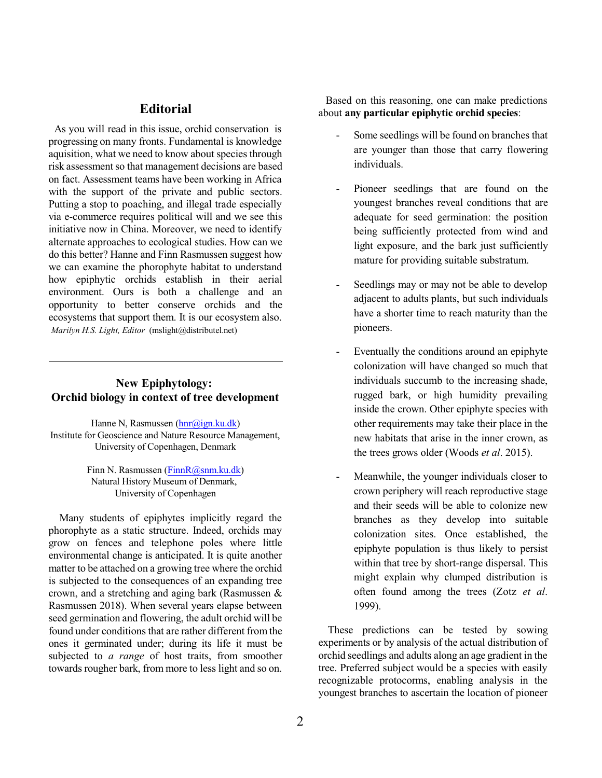### **Editorial**

As you will read in this issue, orchid conservation is progressing on many fronts. Fundamental is knowledge aquisition, what we need to know about species through risk assessment so that management decisions are based on fact. Assessment teams have been working in Africa with the support of the private and public sectors. Putting a stop to poaching, and illegal trade especially via e-commerce requires political will and we see this initiative now in China. Moreover, we need to identify alternate approaches to ecological studies. How can we do this better? Hanne and Finn Rasmussen suggest how we can examine the phorophyte habitat to understand how epiphytic orchids establish in their aerial environment. Ours is both a challenge and an opportunity to better conserve orchids and the ecosystems that support them. It is our ecosystem also. *Marilyn H.S. Light, Editor* (mslight@distributel.net)

#### **New Epiphytology: Orchid biology in context of tree development**

Hanne N, Rasmussen [\(hnr@ign.ku.dk](mailto:hnr@ign.ku.dk)) Institute for Geoscience and Nature Resource Management, University of Copenhagen, Denmark

> Finn N. Rasmussen [\(FinnR@snm.ku.dk](mailto:FinnR@snm.ku.dk)) Natural History Museum of Denmark, University of Copenhagen

Many students of epiphytes implicitly regard the phorophyte as a static structure. Indeed, orchids may grow on fences and telephone poles where little environmental change is anticipated. It is quite another matter to be attached on a growing tree where the orchid is subjected to the consequences of an expanding tree crown, and a stretching and aging bark (Rasmussen & Rasmussen 2018). When several years elapse between seed germination and flowering, the adult orchid will be found under conditions that are rather different from the ones it germinated under; during its life it must be subjected to *a range* of host traits, from smoother towards rougher bark, from more to less light and so on.

Based on this reasoning, one can make predictions about **any particular epiphytic orchid species**:

- Some seedlings will be found on branches that are younger than those that carry flowering individuals.
- Pioneer seedlings that are found on the youngest branches reveal conditions that are adequate for seed germination: the position being sufficiently protected from wind and light exposure, and the bark just sufficiently mature for providing suitable substratum.
- Seedlings may or may not be able to develop adjacent to adults plants, but such individuals have a shorter time to reach maturity than the pioneers.
- Eventually the conditions around an epiphyte colonization will have changed so much that individuals succumb to the increasing shade, rugged bark, or high humidity prevailing inside the crown. Other epiphyte species with other requirements may take their place in the new habitats that arise in the inner crown, as the trees grows older (Woods *et al*. 2015).
- Meanwhile, the younger individuals closer to crown periphery will reach reproductive stage and their seeds will be able to colonize new branches as they develop into suitable colonization sites. Once established, the epiphyte population is thus likely to persist within that tree by short-range dispersal. This might explain why clumped distribution is often found among the trees (Zotz *et al*. 1999).

These predictions can be tested by sowing experiments or by analysis of the actual distribution of orchid seedlings and adults along an age gradient in the tree. Preferred subject would be a species with easily recognizable protocorms, enabling analysis in the youngest branches to ascertain the location of pioneer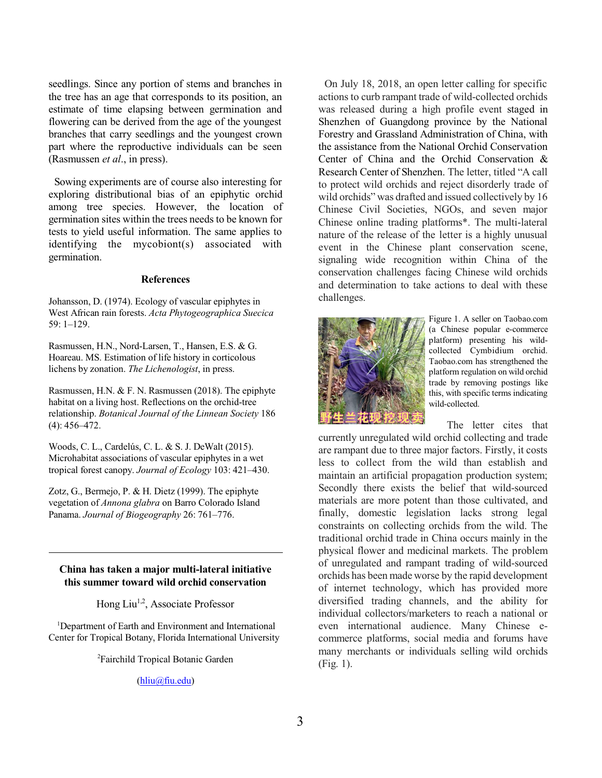seedlings. Since any portion of stems and branches in the tree has an age that corresponds to its position, an estimate of time elapsing between germination and flowering can be derived from the age of the youngest branches that carry seedlings and the youngest crown part where the reproductive individuals can be seen (Rasmussen *et al*., in press).

Sowing experiments are of course also interesting for exploring distributional bias of an epiphytic orchid among tree species. However, the location of germination sites within the trees needs to be known for tests to yield useful information. The same applies to identifying the mycobiont(s) associated with germination.

#### **References**

Johansson, D. (1974). Ecology of vascular epiphytes in West African rain forests. *Acta Phytogeographica Suecica* 59: 1–129.

Rasmussen, H.N., Nord-Larsen, T., Hansen, E.S. & G. Hoareau. MS. Estimation of life history in corticolous lichens by zonation. *The Lichenologist*, in press.

Rasmussen, H.N. & F. N. Rasmussen (2018). The epiphyte habitat on a living host. Reflections on the orchid-tree relationship. *Botanical Journal of the Linnean Society* 186 (4): 456–472.

Woods, C. L., Cardelús, C. L. & S. J. DeWalt (2015). Microhabitat associations of vascular epiphytes in a wet tropical forest canopy. *Journal of Ecology* 103: 421–430.

Zotz, G., Bermejo, P. & H. Dietz (1999). The epiphyte vegetation of *Annona glabra* on Barro Colorado Island Panama. *Journal of Biogeography* 26: 761–776.

#### **China has taken a major multi-lateral initiative this summer toward wild orchid conservation**

Hong Liu<sup>1,2</sup>, Associate Professor

<sup>1</sup>Department of Earth and Environment and International Center for Tropical Botany, Florida International University

<sup>2</sup>Fairchild Tropical Botanic Garden

[\(hliu@fiu.edu](mailto:hliu@fiu.edu))

On July 18, 2018, an open letter calling for specific actions to curb rampant trade of wild-collected orchids was released during a high profile event staged in Shenzhen of Guangdong province by the National Forestry and Grassland Administration of China, with the assistance from the National Orchid Conservation Center of China and the Orchid Conservation & Research Center of Shenzhen. The letter, titled "A call to protect wild orchids and reject disorderly trade of wild orchids" was drafted and issued collectively by 16 Chinese Civil Societies, NGOs, and seven major Chinese online trading platforms\*. The multi-lateral nature of the release of the letter is a highly unusual event in the Chinese plant conservation scene, signaling wide recognition within China of the conservation challenges facing Chinese wild orchids and determination to take actions to deal with these challenges.



Figure 1. A seller on Taobao.com (a Chinese popular e-commerce platform) presenting his wildcollected Cymbidium orchid. Taobao.com has strengthened the platform regulation on wild orchid trade by removing postings like this, with specific terms indicating wild-collected.

The letter cites that

currently unregulated wild orchid collecting and trade are rampant due to three major factors. Firstly, it costs less to collect from the wild than establish and maintain an artificial propagation production system; Secondly there exists the belief that wild-sourced materials are more potent than those cultivated, and finally, domestic legislation lacks strong legal constraints on collecting orchids from the wild. The traditional orchid trade in China occurs mainly in the physical flower and medicinal markets. The problem of unregulated and rampant trading of wild-sourced orchids has been made worse by the rapid development of internet technology, which has provided more diversified trading channels, and the ability for individual collectors/marketers to reach a national or even international audience. Many Chinese ecommerce platforms, social media and forums have many merchants or individuals selling wild orchids (Fig. 1).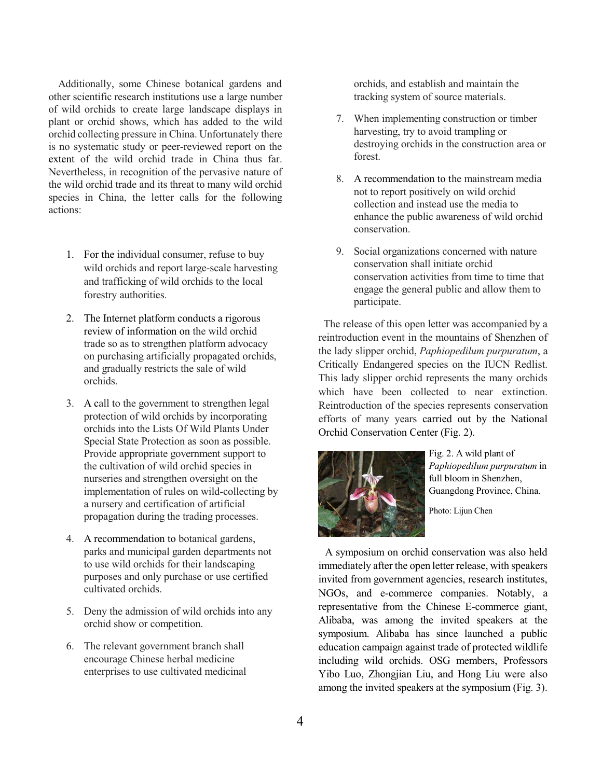Additionally, some Chinese botanical gardens and other scientific research institutions use a large number of wild orchids to create large landscape displays in plant or orchid shows, which has added to the wild orchid collecting pressure in China. Unfortunately there is no systematic study or peer-reviewed report on the extent of the wild orchid trade in China thus far. Nevertheless, in recognition of the pervasive nature of the wild orchid trade and its threat to many wild orchid species in China, the letter calls for the following actions:

- 1. For the individual consumer, refuse to buy wild orchids and report large-scale harvesting and trafficking of wild orchids to the local forestry authorities.
- 2. The Internet platform conducts a rigorous review of information on the wild orchid trade so as to strengthen platform advocacy on purchasing artificially propagated orchids, and gradually restricts the sale of wild orchids.
- 3. A call to the government to strengthen legal protection of wild orchids by incorporating orchids into the Lists Of Wild Plants Under Special State Protection as soon as possible. Provide appropriate government support to the cultivation of wild orchid species in nurseries and strengthen oversight on the implementation of rules on wild-collecting by a nursery and certification of artificial propagation during the trading processes.
- 4. A recommendation to botanical gardens, parks and municipal garden departments not to use wild orchids for their landscaping purposes and only purchase or use certified cultivated orchids.
- 5. Deny the admission of wild orchids into any orchid show or competition.
- 6. The relevant government branch shall encourage Chinese herbal medicine enterprises to use cultivated medicinal

orchids, and establish and maintain the tracking system of source materials.

- 7. When implementing construction or timber harvesting, try to avoid trampling or destroying orchids in the construction area or forest.
- 8. A recommendation to the mainstream media not to report positively on wild orchid collection and instead use the media to enhance the public awareness of wild orchid conservation.
- 9. Social organizations concerned with nature conservation shall initiate orchid conservation activities from time to time that engage the general public and allow them to participate.

 The release of this open letter was accompanied by a reintroduction event in the mountains of Shenzhen of the lady slipper orchid, *Paphiopedilum purpuratum*, a Critically Endangered species on the IUCN Redlist. This lady slipper orchid represents the many orchids which have been collected to near extinction. Reintroduction of the species represents conservation efforts of many years carried out by the National Orchid Conservation Center (Fig. 2).



Fig. 2. A wild plant of *Paphiopedilum purpuratum* in full bloom in Shenzhen, Guangdong Province, China.

Photo: Lijun Chen

A symposium on orchid conservation was also held immediately after the open letter release, with speakers invited from government agencies, research institutes, NGOs, and e-commerce companies. Notably, a representative from the Chinese E-commerce giant, Alibaba, was among the invited speakers at the symposium. Alibaba has since launched a public education campaign against trade of protected wildlife including wild orchids. OSG members, Professors Yibo Luo, Zhongjian Liu, and Hong Liu were also among the invited speakers at the symposium (Fig. 3).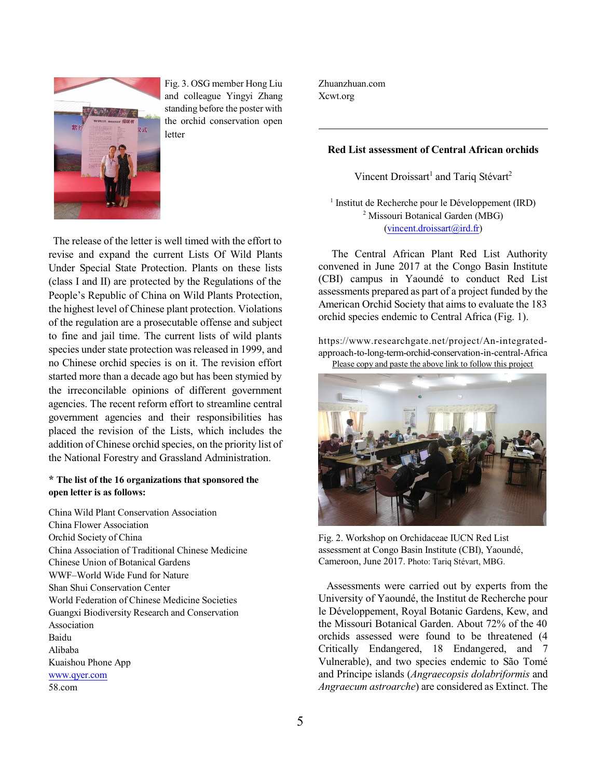

Fig. 3. OSG member Hong Liu and colleague Yingyi Zhang standing before the poster with the orchid conservation open letter

The release of the letter is well timed with the effort to revise and expand the current Lists Of Wild Plants Under Special State Protection. Plants on these lists (class I and II) are protected by the Regulations of the People's Republic of China on Wild Plants Protection, the highest level of Chinese plant protection. Violations of the regulation are a prosecutable offense and subject to fine and jail time. The current lists of wild plants species under state protection was released in 1999, and no Chinese orchid species is on it. The revision effort started more than a decade ago but has been stymied by the irreconcilable opinions of different government agencies. The recent reform effort to streamline central government agencies and their responsibilities has placed the revision of the Lists, which includes the addition of Chinese orchid species, on the priority list of the National Forestry and Grassland Administration.

#### **\* The list of the 16 organizations that sponsored the open letter is as follows:**

China Wild Plant Conservation Association China Flower Association Orchid Society of China China Association of Traditional Chinese Medicine Chinese Union of Botanical Gardens WWF–World Wide Fund for Nature Shan Shui Conservation Center World Federation of Chinese Medicine Societies Guangxi Biodiversity Research and Conservation Association Baidu Alibaba Kuaishou Phone App [www.qyer.com](http://www.qyer.com) 58.com

Zhuanzhuan.com Xcwt.org

#### **Red List assessment of Central African orchids**

Vincent Droissart<sup>1</sup> and Tariq Stévart<sup>2</sup>

<sup>1</sup> Institut de Recherche pour le Développement (IRD) <sup>2</sup> Missouri Botanical Garden (MBG) [\(vincent.droissart@ird.fr](mailto:vincent.droissart@ird.fr))

The Central African Plant Red List Authority convened in June 2017 at the Congo Basin Institute (CBI) campus in Yaoundé to conduct Red List assessments prepared as part of a project funded by the American Orchid Society that aims to evaluate the 183 orchid species endemic to Central Africa (Fig. 1).

https://www.researchgate.net/project/An-integratedapproach-to-long-term-orchid-conservation-in-central-Africa Please copy and paste the above link to follow this project



Fig. 2. Workshop on Orchidaceae IUCN Red List assessment at Congo Basin Institute (CBI), Yaoundé, Cameroon, June 2017. Photo: Tariq Stévart, MBG.

Assessments were carried out by experts from the University of Yaoundé, the Institut de Recherche pour le Développement, Royal Botanic Gardens, Kew, and the Missouri Botanical Garden. About 72% of the 40 orchids assessed were found to be threatened (4 Critically Endangered, 18 Endangered, and 7 Vulnerable), and two species endemic to São Tomé and Príncipe islands (*Angraecopsis dolabriformis* and *Angraecum astroarche*) are considered as Extinct. The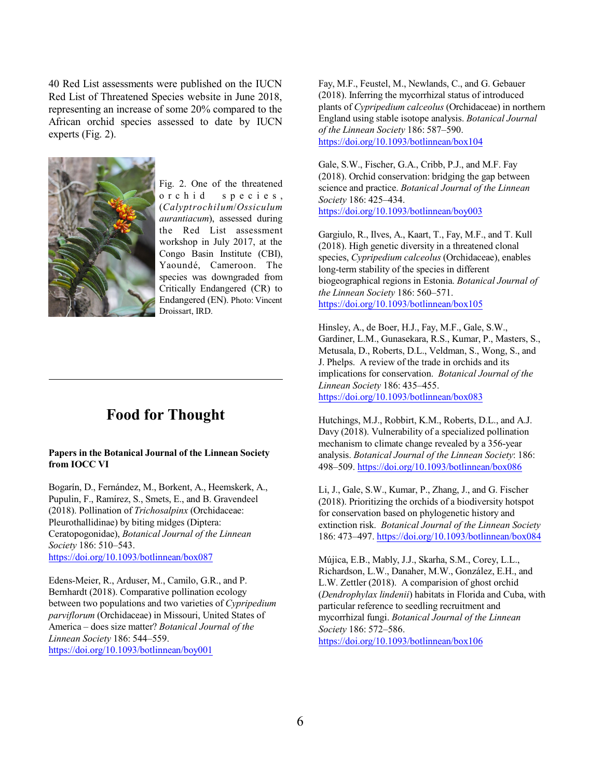40 Red List assessments were published on the IUCN Red List of Threatened Species website in June 2018, representing an increase of some 20% compared to the African orchid species assessed to date by IUCN experts (Fig. 2).



Fig. 2. One of the threatened o r c h i d s p e c i e s , (*Calyptrochilum*/*Ossiculum aurantiacum*), assessed during the Red List assessment workshop in July 2017, at the Congo Basin Institute (CBI), Yaoundé, Cameroon. The species was downgraded from Critically Endangered (CR) to Endangered (EN). Photo: Vincent Droissart, IRD.

### **Food for Thought**

#### **Papers in the Botanical Journal of the Linnean Society from IOCC VI**

Bogarín, D., Fernández, M., Borkent, A., Heemskerk, A., Pupulin, F., Ramírez, S., Smets, E., and B. Gravendeel (2018). Pollination of *Trichosalpinx* (Orchidaceae: Pleurothallidinae) by biting midges (Diptera: Ceratopogonidae), *Botanical Journal of the Linnean Society* 186: 510–543. <https://doi.org/10.1093/botlinnean/box087>

Edens-Meier, R., Arduser, M., Camilo, G.R., and P. Bernhardt (2018). Comparative pollination ecology between two populations and two varieties of *Cypripedium parviflorum* (Orchidaceae) in Missouri, United States of America – does size matter? *Botanical Journal of the Linnean Society* 186: 544–559. <https://doi.org/10.1093/botlinnean/boy001>

Fay, M.F., Feustel, M., Newlands, C., and G. Gebauer (2018). Inferring the mycorrhizal status of introduced plants of *Cypripedium calceolus* (Orchidaceae) in northern England using stable isotope analysis. *Botanical Journal of the Linnean Society* 186: 587–590. <https://doi.org/10.1093/botlinnean/box104>

Gale, S.W., Fischer, G.A., Cribb, P.J., and M.F. Fay (2018). Orchid conservation: bridging the gap between science and practice. *Botanical Journal of the Linnean Society* 186: 425–434. <https://doi.org/10.1093/botlinnean/boy003>

Gargiulo, R., Ilves, A., Kaart, T., Fay, M.F., and T. Kull (2018). High genetic diversity in a threatened clonal species, *Cypripedium calceolus* (Orchidaceae), enables long-term stability of the species in different biogeographical regions in Estonia. *Botanical Journal of the Linnean Society* 186: 560–571. <https://doi.org/10.1093/botlinnean/box105>

Hinsley, A., de Boer, H.J., Fay, M.F., Gale, S.W., Gardiner, L.M., Gunasekara, R.S., Kumar, P., Masters, S., Metusala, D., Roberts, D.L., Veldman, S., Wong, S., and J. Phelps. A review of the trade in orchids and its implications for conservation. *Botanical Journal of the Linnean Society* 186: 435–455. <https://doi.org/10.1093/botlinnean/box083>

Hutchings, M.J., Robbirt, K.M., Roberts, D.L., and A.J. Davy (2018). Vulnerability of a specialized pollination mechanism to climate change revealed by a 356-year analysis. *Botanical Journal of the Linnean Society*: 186: 498–509. <https://doi.org/10.1093/botlinnean/box086>

Li, J., Gale, S.W., Kumar, P., Zhang, J., and G. Fischer (2018). Prioritizing the orchids of a biodiversity hotspot for conservation based on phylogenetic history and extinction risk. *Botanical Journal of the Linnean Society* 186: 473–497. <https://doi.org/10.1093/botlinnean/box084>

Mújica, E.B., Mably, J.J., Skarha, S.M., Corey, L.L., Richardson, L.W., Danaher, M.W., González, E.H., and L.W. Zettler (2018). A comparision of ghost orchid (*Dendrophylax lindenii*) habitats in Florida and Cuba, with particular reference to seedling recruitment and mycorrhizal fungi. *Botanical Journal of the Linnean Society* 186: 572–586. <https://doi.org/10.1093/botlinnean/box106>